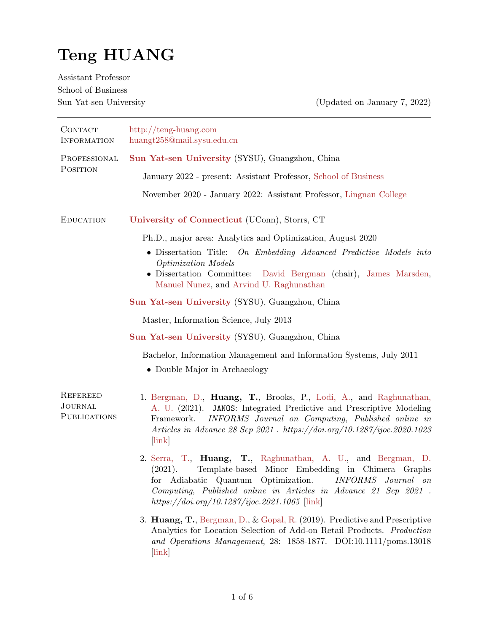# Teng HUANG

Assistant Professor School of Business

Sun Yat-sen University (Updated on January 7, 2022)

| <b>CONTACT</b><br><b>INFORMATION</b>              | http://teng-huang.com<br>huangt258@mail.sysu.edu.cn                                                                                                                                                                                                                                                                                                     |  |  |  |  |  |  |
|---------------------------------------------------|---------------------------------------------------------------------------------------------------------------------------------------------------------------------------------------------------------------------------------------------------------------------------------------------------------------------------------------------------------|--|--|--|--|--|--|
| PROFESSIONAL<br>POSITION                          | Sun Yat-sen University (SYSU), Guangzhou, China                                                                                                                                                                                                                                                                                                         |  |  |  |  |  |  |
|                                                   | January 2022 - present: Assistant Professor, School of Business                                                                                                                                                                                                                                                                                         |  |  |  |  |  |  |
|                                                   | November 2020 - January 2022: Assistant Professor, Lingnan College                                                                                                                                                                                                                                                                                      |  |  |  |  |  |  |
| <b>EDUCATION</b>                                  | University of Connecticut (UConn), Storrs, CT                                                                                                                                                                                                                                                                                                           |  |  |  |  |  |  |
|                                                   | Ph.D., major area: Analytics and Optimization, August 2020                                                                                                                                                                                                                                                                                              |  |  |  |  |  |  |
|                                                   | • Dissertation Title: On Embedding Advanced Predictive Models into<br>Optimization Models<br>• Dissertation Committee:<br>David Bergman (chair), James Marsden,                                                                                                                                                                                         |  |  |  |  |  |  |
|                                                   | Manuel Nunez, and Arvind U. Raghunathan                                                                                                                                                                                                                                                                                                                 |  |  |  |  |  |  |
|                                                   | Sun Yat-sen University (SYSU), Guangzhou, China                                                                                                                                                                                                                                                                                                         |  |  |  |  |  |  |
|                                                   | Master, Information Science, July 2013                                                                                                                                                                                                                                                                                                                  |  |  |  |  |  |  |
|                                                   | Sun Yat-sen University (SYSU), Guangzhou, China                                                                                                                                                                                                                                                                                                         |  |  |  |  |  |  |
|                                                   | Bachelor, Information Management and Information Systems, July 2011<br>• Double Major in Archaeology                                                                                                                                                                                                                                                    |  |  |  |  |  |  |
| <b>REFEREED</b><br><b>JOURNAL</b><br>PUBLICATIONS | 1. Bergman, D., Huang, T., Brooks, P., Lodi, A., and Raghunathan,<br>A. U. (2021). JANOS: Integrated Predictive and Prescriptive Modeling<br>INFORMS Journal on Computing, Published online in<br>Framework.<br>Articles in Advance 28 Sep 2021 . https://doi.org/10.1287/ijoc.2020.1023<br>$[\ln k]$                                                   |  |  |  |  |  |  |
|                                                   | 2. Serra, T., <b>Huang, T.</b> , Raghunathan, A. U., and Bergman, D.<br>Template-based Minor Embedding in Chimera Graphs<br>(2021).<br>$\label{thm:improms} INFORMS\quad Journal\quad on$<br>Adiabatic Quantum Optimization.<br>tor<br>Computing, Published online in Articles in Advance 21 Sep 2021.<br>https://doi.org/10.1287/ijoc.2021.1065 [link] |  |  |  |  |  |  |
|                                                   | 3. <b>Huang, T.</b> , Bergman, D., & Gopal, R. (2019). Predictive and Prescriptive<br>Analytics for Location Selection of Add-on Retail Products. Production<br>and Operations Management, 28: 1858-1877. DOI:10.1111/poms.13018<br>$[\ln k]$                                                                                                           |  |  |  |  |  |  |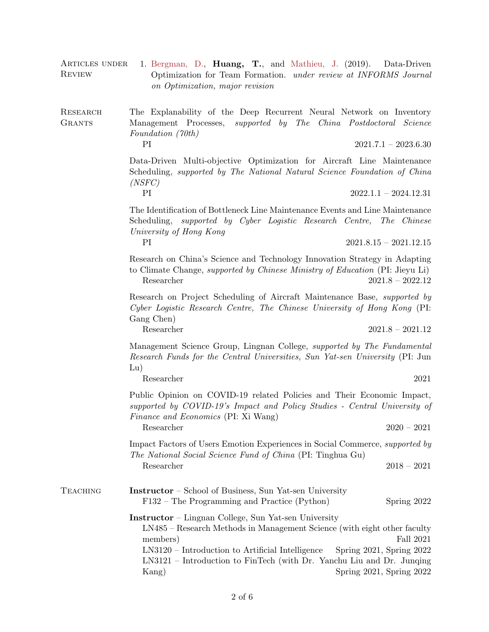| ARTICLES UNDER<br><b>REVIEW</b>  | 1. Bergman, D., <b>Huang, T.</b> , and Mathieu, J. (2019).<br>Data-Driven<br>Optimization for Team Formation. under review at INFORMS Journal<br>on Optimization, major revision                                                                                                                                                                                   |  |  |  |  |  |  |
|----------------------------------|--------------------------------------------------------------------------------------------------------------------------------------------------------------------------------------------------------------------------------------------------------------------------------------------------------------------------------------------------------------------|--|--|--|--|--|--|
| <b>RESEARCH</b><br><b>GRANTS</b> | The Explanability of the Deep Recurrent Neural Network on Inventory<br>Management Processes, <i>supported by The China Postdoctoral Science</i><br>Foundation (70th)                                                                                                                                                                                               |  |  |  |  |  |  |
|                                  | PI<br>$2021.7.1 - 2023.6.30$                                                                                                                                                                                                                                                                                                                                       |  |  |  |  |  |  |
|                                  | Data-Driven Multi-objective Optimization for Aircraft Line Maintenance<br>Scheduling, supported by The National Natural Science Foundation of China<br>(NSFC)                                                                                                                                                                                                      |  |  |  |  |  |  |
|                                  | PI<br>$2022.1.1 - 2024.12.31$                                                                                                                                                                                                                                                                                                                                      |  |  |  |  |  |  |
|                                  | The Identification of Bottleneck Line Maintenance Events and Line Maintenance<br>supported by Cyber Logistic Research Centre, The Chinese<br>Scheduling,<br>University of Hong Kong                                                                                                                                                                                |  |  |  |  |  |  |
|                                  | PI<br>$2021.8.15 - 2021.12.15$                                                                                                                                                                                                                                                                                                                                     |  |  |  |  |  |  |
|                                  | Research on China's Science and Technology Innovation Strategy in Adapting<br>to Climate Change, <i>supported by Chinese Ministry of Education</i> (PI: Jieyu Li)<br>Researcher<br>$2021.8 - 2022.12$                                                                                                                                                              |  |  |  |  |  |  |
|                                  | Research on Project Scheduling of Aircraft Maintenance Base, <i>supported by</i><br>Cyber Logistic Research Centre, The Chinese University of Hong Kong (PI:<br>Gang Chen)                                                                                                                                                                                         |  |  |  |  |  |  |
|                                  | Researcher<br>$2021.8 - 2021.12$                                                                                                                                                                                                                                                                                                                                   |  |  |  |  |  |  |
|                                  | Management Science Group, Lingnan College, <i>supported by The Fundamental</i><br>Research Funds for the Central Universities, Sun Yat-sen University (PI: Jun<br>Lu)                                                                                                                                                                                              |  |  |  |  |  |  |
|                                  | Researcher<br>2021                                                                                                                                                                                                                                                                                                                                                 |  |  |  |  |  |  |
|                                  | Public Opinion on COVID-19 related Policies and Their Economic Impact,<br>supported by COVID-19's Impact and Policy Studies - Central University of<br><i>Finance and Economics</i> (PI: Xi Wang)                                                                                                                                                                  |  |  |  |  |  |  |
|                                  | Researcher<br>$2020 - 2021$                                                                                                                                                                                                                                                                                                                                        |  |  |  |  |  |  |
|                                  | Impact Factors of Users Emotion Experiences in Social Commerce, <i>supported by</i><br><i>The National Social Science Fund of China</i> (PI: Tinghua Gu)                                                                                                                                                                                                           |  |  |  |  |  |  |
|                                  | Researcher<br>$2018 - 2021$                                                                                                                                                                                                                                                                                                                                        |  |  |  |  |  |  |
| <b>TEACHING</b>                  | <b>Instructor</b> – School of Business, Sun Yat-sen University<br>F132 – The Programming and Practice (Python)<br>Spring 2022                                                                                                                                                                                                                                      |  |  |  |  |  |  |
|                                  | <b>Instructor</b> – Lingnan College, Sun Yat-sen University<br>LN485 – Research Methods in Management Science (with eight other faculty<br>Fall $2021\,$<br>members)<br>LN3120 – Introduction to Artificial Intelligence<br>Spring 2021, Spring 2022<br>LN3121 – Introduction to FinTech (with Dr. Yanchu Liu and Dr. Junqing<br>Kang)<br>Spring 2021, Spring 2022 |  |  |  |  |  |  |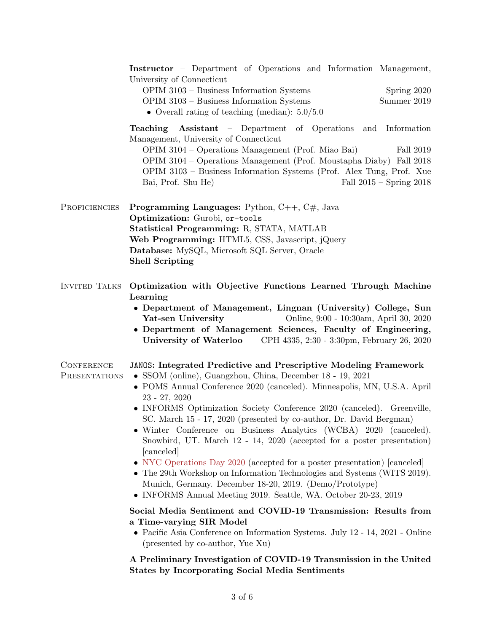Instructor – Department of Operations and Information Management, University of Connecticut

| $OPIM$ 3103 – Business Information Systems                                                                                                                                                                                                                                                                        |  |  |  | Spring 2020          |
|-------------------------------------------------------------------------------------------------------------------------------------------------------------------------------------------------------------------------------------------------------------------------------------------------------------------|--|--|--|----------------------|
| $\bigcap_{i=1}^n$ $\bigcap_{i=1}^n$ $\bigcap_{i=1}^n$ $\bigcap_{i=1}^n$ $\bigcap_{i=1}^n$ $\bigcap_{i=1}^n$ $\bigcap_{i=1}^n$ $\bigcap_{i=1}^n$ $\bigcap_{i=1}^n$ $\bigcap_{i=1}^n$ $\bigcap_{i=1}^n$ $\bigcap_{i=1}^n$ $\bigcap_{i=1}^n$ $\bigcap_{i=1}^n$ $\bigcap_{i=1}^n$ $\bigcap_{i=1}^n$ $\bigcap_{i=1}^n$ |  |  |  | $\sim$ $\sim$ $\sim$ |

OPIM 3103 – Business Information Systems Summer 2019

• Overall rating of teaching (median):  $5.0/5.0$ 

Teaching Assistant – Department of Operations and Information Management, University of Connecticut

OPIM 3104 – Operations Management (Prof. Miao Bai) Fall 2019 OPIM 3104 – Operations Management (Prof. Moustapha Diaby) Fall 2018 OPIM 3103 – Business Information Systems (Prof. Alex Tung, Prof. Xue Bai, Prof. Shu He) Fall 2015 – Spring 2018

PROFICIENCIES Programming Languages: Python, C++, C#, Java Optimization: Gurobi, or-tools Statistical Programming: R, STATA, MATLAB Web Programming: HTML5, CSS, Javascript, jQuery Database: MySQL, Microsoft SQL Server, Oracle Shell Scripting

- Invited Talks Optimization with Objective Functions Learned Through Machine Learning
	- Department of Management, Lingnan (University) College, Sun Yat-sen University Online, 9:00 - 10:30am, April 30, 2020
	- Department of Management Sciences, Faculty of Engineering, University of Waterloo CPH 4335, 2:30 - 3:30pm, February 26, 2020

#### **CONFERENCE** JANOS: Integrated Predictive and Prescriptive Modeling Framework

- **PRESENTATIONS** • SSOM (online), Guangzhou, China, December 18 - 19, 2021
	- POMS Annual Conference 2020 (canceled). Minneapolis, MN, U.S.A. April 23 - 27, 2020
	- INFORMS Optimization Society Conference 2020 (canceled). Greenville, SC. March 15 - 17, 2020 (presented by co-author, Dr. David Bergman)
	- Winter Conference on Business Analytics (WCBA) 2020 (canceled). Snowbird, UT. March 12 - 14, 2020 (accepted for a poster presentation) [canceled]
	- [NYC Operations Day 2020](https://sites.google.com/view/nyc-ops-day-2020/home) (accepted for a poster presentation) [canceled]
	- The 29th Workshop on Information Technologies and Systems (WITS 2019). Munich, Germany. December 18-20, 2019. (Demo/Prototype)
	- INFORMS Annual Meeting 2019. Seattle, WA. October 20-23, 2019

#### Social Media Sentiment and COVID-19 Transmission: Results from a Time-varying SIR Model

• Pacific Asia Conference on Information Systems. July 12 - 14, 2021 - Online (presented by co-author, Yue Xu)

A Preliminary Investigation of COVID-19 Transmission in the United States by Incorporating Social Media Sentiments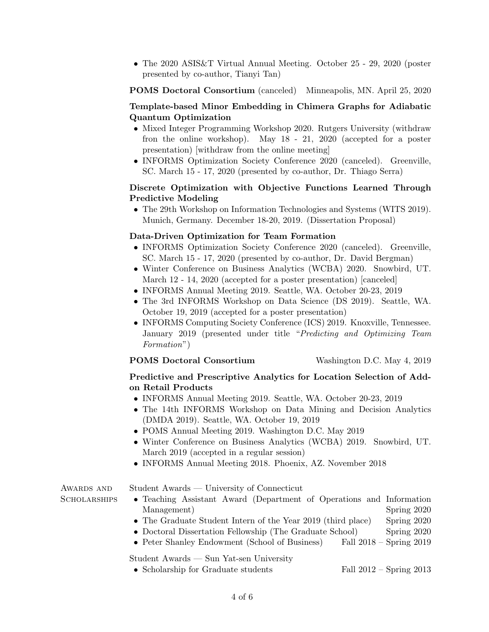• The 2020 ASIS & T Virtual Annual Meeting. October 25 - 29, 2020 (poster presented by co-author, Tianyi Tan)

POMS Doctoral Consortium (canceled) Minneapolis, MN. April 25, 2020

# Template-based Minor Embedding in Chimera Graphs for Adiabatic Quantum Optimization

- Mixed Integer Programming Workshop 2020. Rutgers University (withdraw fron the online workshop). May 18 - 21, 2020 (accepted for a poster presentation) [withdraw from the online meeting]
- INFORMS Optimization Society Conference 2020 (canceled). Greenville, SC. March 15 - 17, 2020 (presented by co-author, Dr. Thiago Serra)

# Discrete Optimization with Objective Functions Learned Through Predictive Modeling

• The 29th Workshop on Information Technologies and Systems (WITS 2019). Munich, Germany. December 18-20, 2019. (Dissertation Proposal)

# Data-Driven Optimization for Team Formation

- INFORMS Optimization Society Conference 2020 (canceled). Greenville, SC. March 15 - 17, 2020 (presented by co-author, Dr. David Bergman)
- Winter Conference on Business Analytics (WCBA) 2020. Snowbird, UT. March 12 - 14, 2020 (accepted for a poster presentation) [canceled]
- INFORMS Annual Meeting 2019. Seattle, WA. October 20-23, 2019
- The 3rd INFORMS Workshop on Data Science (DS 2019). Seattle, WA. October 19, 2019 (accepted for a poster presentation)
- INFORMS Computing Society Conference (ICS) 2019. Knoxville, Tennessee. January 2019 (presented under title "Predicting and Optimizing Team Formation")

# POMS Doctoral Consortium Washington D.C. May 4, 2019

# Predictive and Prescriptive Analytics for Location Selection of Addon Retail Products

- INFORMS Annual Meeting 2019. Seattle, WA. October 20-23, 2019
- The 14th INFORMS Workshop on Data Mining and Decision Analytics (DMDA 2019). Seattle, WA. October 19, 2019
- POMS Annual Meeting 2019. Washington D.C. May 2019
- Winter Conference on Business Analytics (WCBA) 2019. Snowbird, UT. March 2019 (accepted in a regular session)
- INFORMS Annual Meeting 2018. Phoenix, AZ. November 2018

AWARDS AND **SCHOLARSHIPS**  Student Awards — University of Connecticut

- Teaching Assistant Award (Department of Operations and Information Management) Spring 2020
- The Graduate Student Intern of the Year 2019 (third place) Spring 2020
- Doctoral Dissertation Fellowship (The Graduate School) Spring 2020
- Peter Shanley Endowment (School of Business) Fall 2018 Spring 2019

# Student Awards — Sun Yat-sen University

• Scholarship for Graduate students Fall 2012 – Spring 2013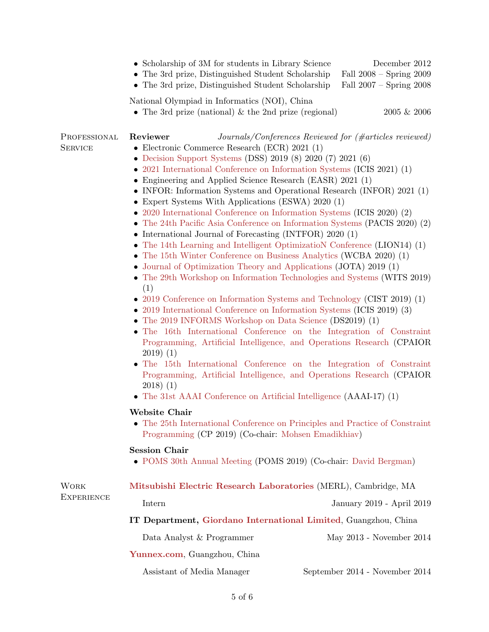|                                |                                                                                        | • Scholarship of 3M for students in Library Science<br>• The 3rd prize, Distinguished Student Scholarship<br>• The 3rd prize, Distinguished Student Scholarship                                                                                                                                                                                                                                                                                                                                                                                                                                                                                                                                                                                                                                                                                                                                                                                                                                                                                                                                     |  | December 2012<br>Fall $2008 -$ Spring $2009$<br>Fall 2007 - Spring 2008                                                                                                                                                                                                                                                                                                                                                                                                                                                                                                                                                                                                       |  |  |  |  |
|--------------------------------|----------------------------------------------------------------------------------------|-----------------------------------------------------------------------------------------------------------------------------------------------------------------------------------------------------------------------------------------------------------------------------------------------------------------------------------------------------------------------------------------------------------------------------------------------------------------------------------------------------------------------------------------------------------------------------------------------------------------------------------------------------------------------------------------------------------------------------------------------------------------------------------------------------------------------------------------------------------------------------------------------------------------------------------------------------------------------------------------------------------------------------------------------------------------------------------------------------|--|-------------------------------------------------------------------------------------------------------------------------------------------------------------------------------------------------------------------------------------------------------------------------------------------------------------------------------------------------------------------------------------------------------------------------------------------------------------------------------------------------------------------------------------------------------------------------------------------------------------------------------------------------------------------------------|--|--|--|--|
|                                |                                                                                        | National Olympiad in Informatics (NOI), China<br>• The 3rd prize (national) $\&$ the 2nd prize (regional)                                                                                                                                                                                                                                                                                                                                                                                                                                                                                                                                                                                                                                                                                                                                                                                                                                                                                                                                                                                           |  | $2005 \& 2006$                                                                                                                                                                                                                                                                                                                                                                                                                                                                                                                                                                                                                                                                |  |  |  |  |
| PROFESSIONAL<br><b>SERVICE</b> | Reviewer<br>(1)<br>$2019)$ (1)<br>$2018)$ (1)<br>Website Chair<br><b>Session Chair</b> | • Electronic Commerce Research (ECR) $2021$ (1)<br>• Decision Support Systems (DSS) 2019 (8) 2020 (7) 2021 (6)<br>• 2021 International Conference on Information Systems (ICIS 2021) (1)<br>• Engineering and Applied Science Research (EASR) 2021 (1)<br>• Expert Systems With Applications (ESWA) 2020 (1)<br>• 2020 International Conference on Information Systems (ICIS 2020) (2)<br>• International Journal of Forecasting (INTFOR) $2020(1)$<br>• The 14th Learning and Intelligent Optimization Conference (LION14) (1)<br>• The 15th Winter Conference on Business Analytics (WCBA 2020) (1)<br>• Journal of Optimization Theory and Applications (JOTA) 2019 (1)<br>• 2019 Conference on Information Systems and Technology (CIST 2019) (1)<br>• 2019 International Conference on Information Systems (ICIS 2019) (3)<br>• The 2019 INFORMS Workshop on Data Science (DS2019) (1)<br>• The 31st AAAI Conference on Artificial Intelligence $(AA A I - 17)$ (1)<br>Programming (CP 2019) (Co-chair: Mohsen Emadikhiav)<br>• POMS 30th Annual Meeting (POMS 2019) (Co-chair: David Bergman) |  | $Journals/Conferences$ Reviewed for (#articles reviewed)<br>• INFOR: Information Systems and Operational Research (INFOR) 2021 (1)<br>• The 24th Pacific Asia Conference on Information Systems (PACIS 2020) (2)<br>• The 29th Workshop on Information Technologies and Systems (WITS 2019)<br>• The 16th International Conference on the Integration of Constraint<br>Programming, Artificial Intelligence, and Operations Research (CPAIOR<br>• The 15th International Conference on the Integration of Constraint<br>Programming, Artificial Intelligence, and Operations Research (CPAIOR<br>• The 25th International Conference on Principles and Practice of Constraint |  |  |  |  |
| WORK                           | Mitsubishi Electric Research Laboratories (MERL), Cambridge, MA                        |                                                                                                                                                                                                                                                                                                                                                                                                                                                                                                                                                                                                                                                                                                                                                                                                                                                                                                                                                                                                                                                                                                     |  |                                                                                                                                                                                                                                                                                                                                                                                                                                                                                                                                                                                                                                                                               |  |  |  |  |
| EXPERIENCE                     | Intern                                                                                 |                                                                                                                                                                                                                                                                                                                                                                                                                                                                                                                                                                                                                                                                                                                                                                                                                                                                                                                                                                                                                                                                                                     |  | January 2019 - April 2019                                                                                                                                                                                                                                                                                                                                                                                                                                                                                                                                                                                                                                                     |  |  |  |  |
|                                | IT Department, Giordano International Limited, Guangzhou, China                        |                                                                                                                                                                                                                                                                                                                                                                                                                                                                                                                                                                                                                                                                                                                                                                                                                                                                                                                                                                                                                                                                                                     |  |                                                                                                                                                                                                                                                                                                                                                                                                                                                                                                                                                                                                                                                                               |  |  |  |  |
|                                |                                                                                        | Data Analyst & Programmer                                                                                                                                                                                                                                                                                                                                                                                                                                                                                                                                                                                                                                                                                                                                                                                                                                                                                                                                                                                                                                                                           |  | May 2013 - November 2014                                                                                                                                                                                                                                                                                                                                                                                                                                                                                                                                                                                                                                                      |  |  |  |  |
|                                | Yunnex.com, Guangzhou, China                                                           |                                                                                                                                                                                                                                                                                                                                                                                                                                                                                                                                                                                                                                                                                                                                                                                                                                                                                                                                                                                                                                                                                                     |  |                                                                                                                                                                                                                                                                                                                                                                                                                                                                                                                                                                                                                                                                               |  |  |  |  |
|                                | Assistant of Media Manager                                                             |                                                                                                                                                                                                                                                                                                                                                                                                                                                                                                                                                                                                                                                                                                                                                                                                                                                                                                                                                                                                                                                                                                     |  | September 2014 - November 2014                                                                                                                                                                                                                                                                                                                                                                                                                                                                                                                                                                                                                                                |  |  |  |  |